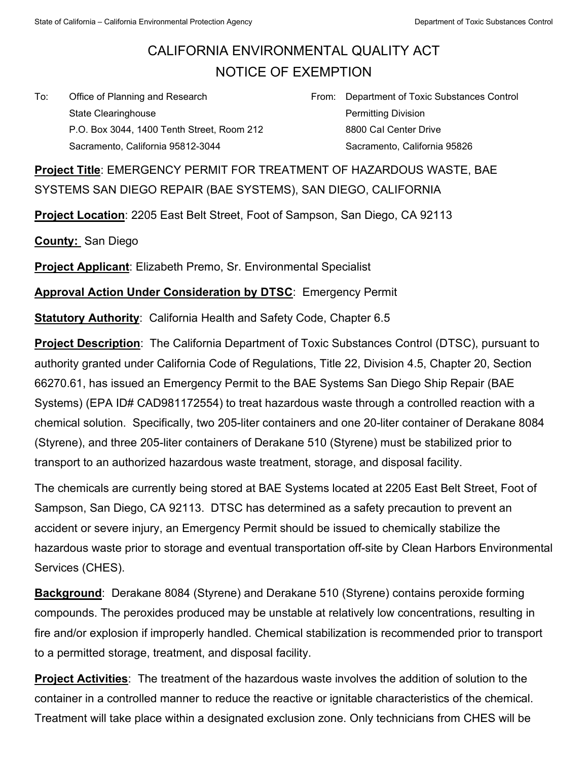## CALIFORNIA ENVIRONMENTAL QUALITY ACT NOTICE OF EXEMPTION

To: Office of Planning and Research State Clearinghouse P.O. Box 3044, 1400 Tenth Street, Room 212 Sacramento, California 95812-3044

From: Department of Toxic Substances Control Permitting Division 8800 Cal Center Drive Sacramento, California 95826

**Project Title**: EMERGENCY PERMIT FOR TREATMENT OF HAZARDOUS WASTE, BAE SYSTEMS SAN DIEGO REPAIR (BAE SYSTEMS), SAN DIEGO, CALIFORNIA

**Project Location**: 2205 East Belt Street, Foot of Sampson, San Diego, CA 92113

**County:** San Diego

**Project Applicant**: Elizabeth Premo, Sr. Environmental Specialist

**Approval Action Under Consideration by DTSC**: Emergency Permit

**Statutory Authority: California Health and Safety Code, Chapter 6.5** 

**Project Description**: The California Department of Toxic Substances Control (DTSC), pursuant to authority granted under California Code of Regulations, Title 22, Division 4.5, Chapter 20, Section 66270.61, has issued an Emergency Permit to the BAE Systems San Diego Ship Repair (BAE Systems) (EPA ID# CAD981172554) to treat hazardous waste through a controlled reaction with a chemical solution. Specifically, two 205-liter containers and one 20-liter container of Derakane 8084 (Styrene), and three 205-liter containers of Derakane 510 (Styrene) must be stabilized prior to transport to an authorized hazardous waste treatment, storage, and disposal facility.

The chemicals are currently being stored at BAE Systems located at 2205 East Belt Street, Foot of Sampson, San Diego, CA 92113. DTSC has determined as a safety precaution to prevent an accident or severe injury, an Emergency Permit should be issued to chemically stabilize the hazardous waste prior to storage and eventual transportation off-site by Clean Harbors Environmental Services (CHES).

**Background**: Derakane 8084 (Styrene) and Derakane 510 (Styrene) contains peroxide forming compounds. The peroxides produced may be unstable at relatively low concentrations, resulting in fire and/or explosion if improperly handled. Chemical stabilization is recommended prior to transport to a permitted storage, treatment, and disposal facility.

**Project Activities**: The treatment of the hazardous waste involves the addition of solution to the container in a controlled manner to reduce the reactive or ignitable characteristics of the chemical. Treatment will take place within a designated exclusion zone. Only technicians from CHES will be